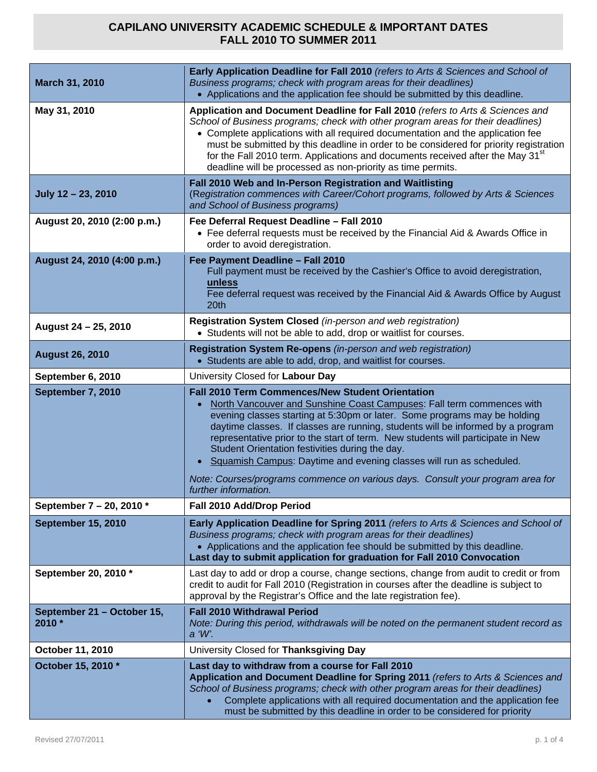| March 31, 2010                       | Early Application Deadline for Fall 2010 (refers to Arts & Sciences and School of<br>Business programs; check with program areas for their deadlines)<br>• Applications and the application fee should be submitted by this deadline.                                                                                                                                                                                                                                                                                                                                                                                                |
|--------------------------------------|--------------------------------------------------------------------------------------------------------------------------------------------------------------------------------------------------------------------------------------------------------------------------------------------------------------------------------------------------------------------------------------------------------------------------------------------------------------------------------------------------------------------------------------------------------------------------------------------------------------------------------------|
| May 31, 2010                         | Application and Document Deadline for Fall 2010 (refers to Arts & Sciences and<br>School of Business programs; check with other program areas for their deadlines)<br>• Complete applications with all required documentation and the application fee<br>must be submitted by this deadline in order to be considered for priority registration<br>for the Fall 2010 term. Applications and documents received after the May 31 <sup>st</sup><br>deadline will be processed as non-priority as time permits.                                                                                                                         |
| July 12 - 23, 2010                   | Fall 2010 Web and In-Person Registration and Waitlisting<br>(Registration commences with Career/Cohort programs, followed by Arts & Sciences<br>and School of Business programs)                                                                                                                                                                                                                                                                                                                                                                                                                                                     |
| August 20, 2010 (2:00 p.m.)          | Fee Deferral Request Deadline - Fall 2010<br>• Fee deferral requests must be received by the Financial Aid & Awards Office in<br>order to avoid deregistration.                                                                                                                                                                                                                                                                                                                                                                                                                                                                      |
| August 24, 2010 (4:00 p.m.)          | Fee Payment Deadline - Fall 2010<br>Full payment must be received by the Cashier's Office to avoid deregistration,<br>unless<br>Fee deferral request was received by the Financial Aid & Awards Office by August<br>20 <sup>th</sup>                                                                                                                                                                                                                                                                                                                                                                                                 |
| August 24 - 25, 2010                 | Registration System Closed (in-person and web registration)<br>• Students will not be able to add, drop or waitlist for courses.                                                                                                                                                                                                                                                                                                                                                                                                                                                                                                     |
| <b>August 26, 2010</b>               | Registration System Re-opens (in-person and web registration)<br>• Students are able to add, drop, and waitlist for courses.                                                                                                                                                                                                                                                                                                                                                                                                                                                                                                         |
| September 6, 2010                    | University Closed for Labour Day                                                                                                                                                                                                                                                                                                                                                                                                                                                                                                                                                                                                     |
| September 7, 2010                    | <b>Fall 2010 Term Commences/New Student Orientation</b><br>North Vancouver and Sunshine Coast Campuses: Fall term commences with<br>$\bullet$<br>evening classes starting at 5:30pm or later. Some programs may be holding<br>daytime classes. If classes are running, students will be informed by a program<br>representative prior to the start of term. New students will participate in New<br>Student Orientation festivities during the day.<br>Squamish Campus: Daytime and evening classes will run as scheduled.<br>Note: Courses/programs commence on various days. Consult your program area for<br>further information. |
| September 7 - 20, 2010 *             | Fall 2010 Add/Drop Period                                                                                                                                                                                                                                                                                                                                                                                                                                                                                                                                                                                                            |
| <b>September 15, 2010</b>            | Early Application Deadline for Spring 2011 (refers to Arts & Sciences and School of<br>Business programs; check with program areas for their deadlines)<br>• Applications and the application fee should be submitted by this deadline.<br>Last day to submit application for graduation for Fall 2010 Convocation                                                                                                                                                                                                                                                                                                                   |
| September 20, 2010 *                 | Last day to add or drop a course, change sections, change from audit to credit or from<br>credit to audit for Fall 2010 (Registration in courses after the deadline is subject to<br>approval by the Registrar's Office and the late registration fee).                                                                                                                                                                                                                                                                                                                                                                              |
| September 21 - October 15,<br>2010 * | <b>Fall 2010 Withdrawal Period</b><br>Note: During this period, withdrawals will be noted on the permanent student record as<br>a 'W'.                                                                                                                                                                                                                                                                                                                                                                                                                                                                                               |
| October 11, 2010                     | University Closed for Thanksgiving Day                                                                                                                                                                                                                                                                                                                                                                                                                                                                                                                                                                                               |
| October 15, 2010 *                   | Last day to withdraw from a course for Fall 2010<br>Application and Document Deadline for Spring 2011 (refers to Arts & Sciences and<br>School of Business programs; check with other program areas for their deadlines)<br>Complete applications with all required documentation and the application fee<br>must be submitted by this deadline in order to be considered for priority                                                                                                                                                                                                                                               |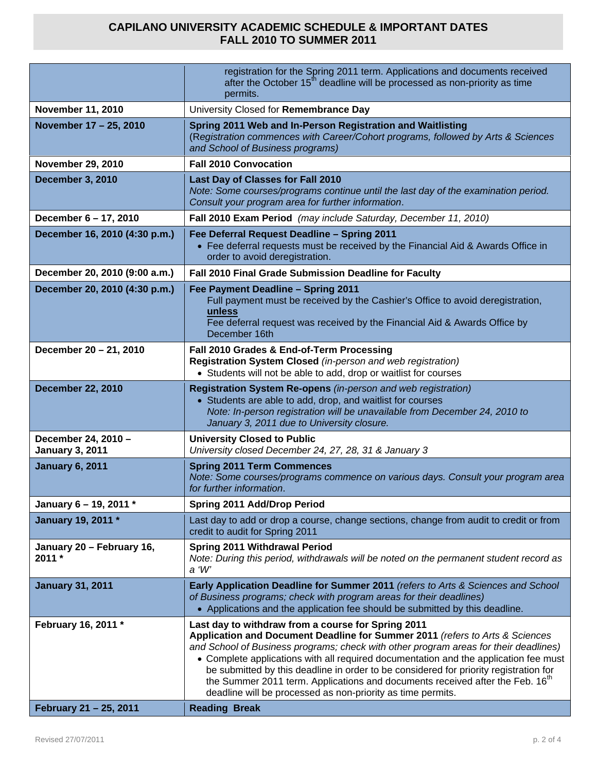|                                               | registration for the Spring 2011 term. Applications and documents received<br>after the October 15 <sup>th</sup> deadline will be processed as non-priority as time<br>permits.                                                                                                                                                                                                                                                                                                                                                                                                                 |
|-----------------------------------------------|-------------------------------------------------------------------------------------------------------------------------------------------------------------------------------------------------------------------------------------------------------------------------------------------------------------------------------------------------------------------------------------------------------------------------------------------------------------------------------------------------------------------------------------------------------------------------------------------------|
| <b>November 11, 2010</b>                      | University Closed for Remembrance Day                                                                                                                                                                                                                                                                                                                                                                                                                                                                                                                                                           |
| November 17 - 25, 2010                        | Spring 2011 Web and In-Person Registration and Waitlisting<br>(Registration commences with Career/Cohort programs, followed by Arts & Sciences<br>and School of Business programs)                                                                                                                                                                                                                                                                                                                                                                                                              |
| <b>November 29, 2010</b>                      | <b>Fall 2010 Convocation</b>                                                                                                                                                                                                                                                                                                                                                                                                                                                                                                                                                                    |
| <b>December 3, 2010</b>                       | Last Day of Classes for Fall 2010<br>Note: Some courses/programs continue until the last day of the examination period.<br>Consult your program area for further information.                                                                                                                                                                                                                                                                                                                                                                                                                   |
| December 6 - 17, 2010                         | Fall 2010 Exam Period (may include Saturday, December 11, 2010)                                                                                                                                                                                                                                                                                                                                                                                                                                                                                                                                 |
| December 16, 2010 (4:30 p.m.)                 | Fee Deferral Request Deadline - Spring 2011<br>• Fee deferral requests must be received by the Financial Aid & Awards Office in<br>order to avoid deregistration.                                                                                                                                                                                                                                                                                                                                                                                                                               |
| December 20, 2010 (9:00 a.m.)                 | Fall 2010 Final Grade Submission Deadline for Faculty                                                                                                                                                                                                                                                                                                                                                                                                                                                                                                                                           |
| December 20, 2010 (4:30 p.m.)                 | Fee Payment Deadline - Spring 2011<br>Full payment must be received by the Cashier's Office to avoid deregistration,<br>unless<br>Fee deferral request was received by the Financial Aid & Awards Office by<br>December 16th                                                                                                                                                                                                                                                                                                                                                                    |
| December 20 - 21, 2010                        | Fall 2010 Grades & End-of-Term Processing<br>Registration System Closed (in-person and web registration)<br>• Students will not be able to add, drop or waitlist for courses                                                                                                                                                                                                                                                                                                                                                                                                                    |
| <b>December 22, 2010</b>                      | Registration System Re-opens (in-person and web registration)<br>• Students are able to add, drop, and waitlist for courses<br>Note: In-person registration will be unavailable from December 24, 2010 to<br>January 3, 2011 due to University closure.                                                                                                                                                                                                                                                                                                                                         |
| December 24, 2010 -<br><b>January 3, 2011</b> | <b>University Closed to Public</b><br>University closed December 24, 27, 28, 31 & January 3                                                                                                                                                                                                                                                                                                                                                                                                                                                                                                     |
| <b>January 6, 2011</b>                        | <b>Spring 2011 Term Commences</b><br>Note: Some courses/programs commence on various days. Consult your program area<br>for further information.                                                                                                                                                                                                                                                                                                                                                                                                                                                |
| January 6 - 19, 2011 *                        | Spring 2011 Add/Drop Period                                                                                                                                                                                                                                                                                                                                                                                                                                                                                                                                                                     |
| January 19, 2011 *                            | Last day to add or drop a course, change sections, change from audit to credit or from<br>credit to audit for Spring 2011                                                                                                                                                                                                                                                                                                                                                                                                                                                                       |
| January 20 - February 16,<br>$2011 *$         | Spring 2011 Withdrawal Period<br>Note: During this period, withdrawals will be noted on the permanent student record as<br>a 'W'                                                                                                                                                                                                                                                                                                                                                                                                                                                                |
| <b>January 31, 2011</b>                       | Early Application Deadline for Summer 2011 (refers to Arts & Sciences and School<br>of Business programs; check with program areas for their deadlines)<br>• Applications and the application fee should be submitted by this deadline.                                                                                                                                                                                                                                                                                                                                                         |
| February 16, 2011 *<br>February 21 - 25, 2011 | Last day to withdraw from a course for Spring 2011<br>Application and Document Deadline for Summer 2011 (refers to Arts & Sciences<br>and School of Business programs; check with other program areas for their deadlines)<br>• Complete applications with all required documentation and the application fee must<br>be submitted by this deadline in order to be considered for priority registration for<br>the Summer 2011 term. Applications and documents received after the Feb. 16 <sup>th</sup><br>deadline will be processed as non-priority as time permits.<br><b>Reading Break</b> |
|                                               |                                                                                                                                                                                                                                                                                                                                                                                                                                                                                                                                                                                                 |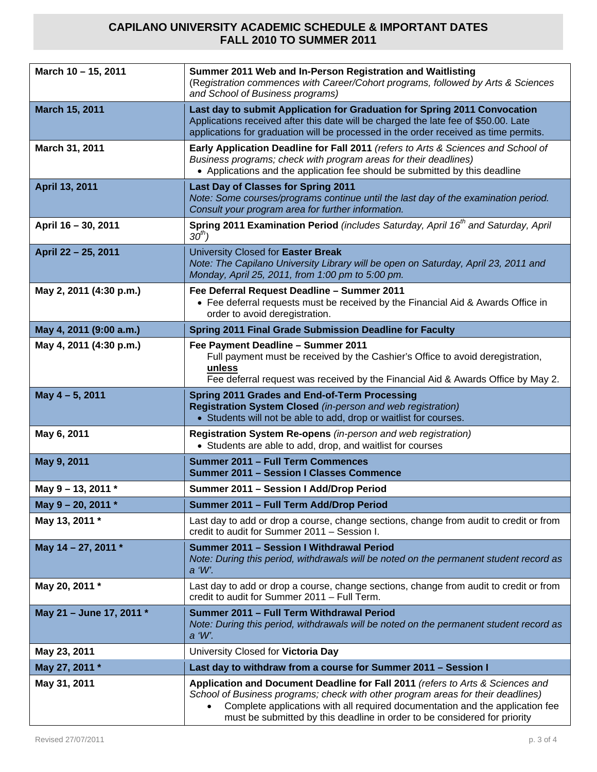| March 10 - 15, 2011      | Summer 2011 Web and In-Person Registration and Waitlisting<br>(Registration commences with Career/Cohort programs, followed by Arts & Sciences<br>and School of Business programs)                                                                                                                                               |
|--------------------------|----------------------------------------------------------------------------------------------------------------------------------------------------------------------------------------------------------------------------------------------------------------------------------------------------------------------------------|
| March 15, 2011           | Last day to submit Application for Graduation for Spring 2011 Convocation<br>Applications received after this date will be charged the late fee of \$50.00. Late<br>applications for graduation will be processed in the order received as time permits.                                                                         |
| March 31, 2011           | Early Application Deadline for Fall 2011 (refers to Arts & Sciences and School of<br>Business programs; check with program areas for their deadlines)<br>• Applications and the application fee should be submitted by this deadline                                                                                             |
| April 13, 2011           | <b>Last Day of Classes for Spring 2011</b><br>Note: Some courses/programs continue until the last day of the examination period.<br>Consult your program area for further information.                                                                                                                                           |
| April 16 - 30, 2011      | Spring 2011 Examination Period (includes Saturday, April 16 <sup>th</sup> and Saturday, April<br>$30th$ )                                                                                                                                                                                                                        |
| April 22 - 25, 2011      | University Closed for Easter Break<br>Note: The Capilano University Library will be open on Saturday, April 23, 2011 and<br>Monday, April 25, 2011, from 1:00 pm to 5:00 pm.                                                                                                                                                     |
| May 2, 2011 (4:30 p.m.)  | Fee Deferral Request Deadline - Summer 2011<br>• Fee deferral requests must be received by the Financial Aid & Awards Office in<br>order to avoid deregistration.                                                                                                                                                                |
| May 4, 2011 (9:00 a.m.)  | Spring 2011 Final Grade Submission Deadline for Faculty                                                                                                                                                                                                                                                                          |
| May 4, 2011 (4:30 p.m.)  | Fee Payment Deadline - Summer 2011<br>Full payment must be received by the Cashier's Office to avoid deregistration,<br>unless<br>Fee deferral request was received by the Financial Aid & Awards Office by May 2.                                                                                                               |
| May 4-5, 2011            | Spring 2011 Grades and End-of-Term Processing<br>Registration System Closed (in-person and web registration)<br>• Students will not be able to add, drop or waitlist for courses.                                                                                                                                                |
| May 6, 2011              | Registration System Re-opens (in-person and web registration)<br>• Students are able to add, drop, and waitlist for courses                                                                                                                                                                                                      |
| May 9, 2011              | Summer 2011 - Full Term Commences<br><b>Summer 2011 - Session I Classes Commence</b>                                                                                                                                                                                                                                             |
| May 9 - 13, 2011 *       | Summer 2011 - Session I Add/Drop Period                                                                                                                                                                                                                                                                                          |
| May 9 - 20, 2011 *       | Summer 2011 - Full Term Add/Drop Period                                                                                                                                                                                                                                                                                          |
| May 13, 2011 *           | Last day to add or drop a course, change sections, change from audit to credit or from<br>credit to audit for Summer 2011 - Session I.                                                                                                                                                                                           |
| May 14 - 27, 2011 *      | Summer 2011 - Session I Withdrawal Period<br>Note: During this period, withdrawals will be noted on the permanent student record as<br>a 'W'.                                                                                                                                                                                    |
| May 20, 2011 *           | Last day to add or drop a course, change sections, change from audit to credit or from<br>credit to audit for Summer 2011 - Full Term.                                                                                                                                                                                           |
| May 21 - June 17, 2011 * | Summer 2011 - Full Term Withdrawal Period<br>Note: During this period, withdrawals will be noted on the permanent student record as<br>a 'W'.                                                                                                                                                                                    |
| May 23, 2011             | University Closed for Victoria Day                                                                                                                                                                                                                                                                                               |
| May 27, 2011 *           | Last day to withdraw from a course for Summer 2011 - Session I                                                                                                                                                                                                                                                                   |
| May 31, 2011             | Application and Document Deadline for Fall 2011 (refers to Arts & Sciences and<br>School of Business programs; check with other program areas for their deadlines)<br>Complete applications with all required documentation and the application fee<br>must be submitted by this deadline in order to be considered for priority |